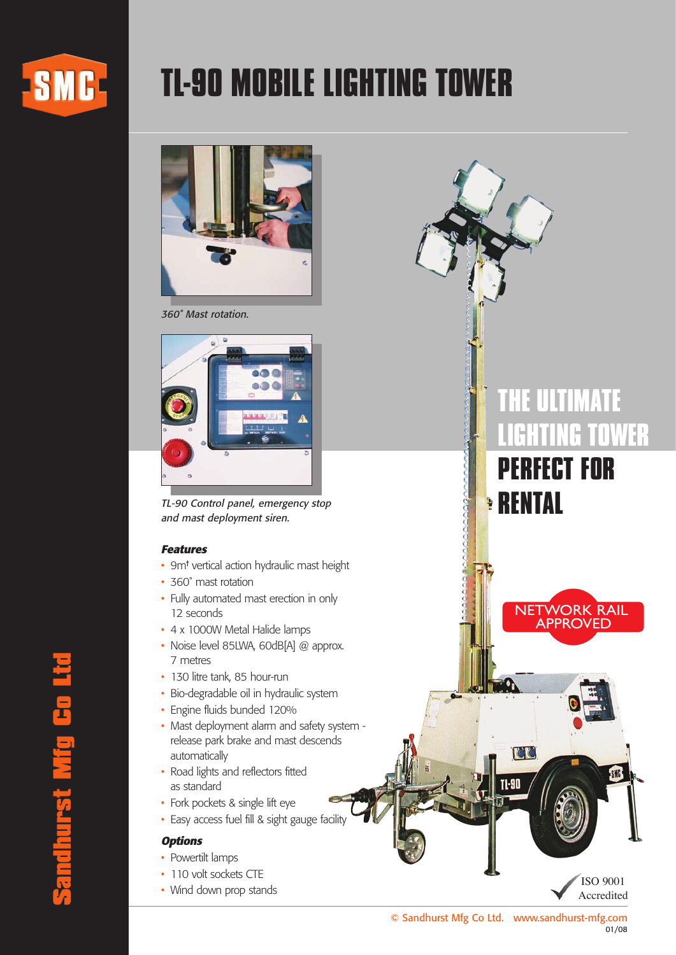

## **TL-90 MOBILE LIGHTING TOWER**



360˚ Mast rotation.



TL-90 Control panel, emergency stop and mast deployment siren.

#### **Features**

- 9m<sup>t</sup> vertical action hydraulic mast height
- 360˚ mast rotation
- Fully automated mast erection in only 12 seconds
- 4 x 1000W Metal Halide lamps
- Noise level 85LWA, 60dB[A] @ approx. 7 metres
- 130 litre tank, 85 hour-run
- Bio-degradable oil in hydraulic system
- Engine fluids bunded 120%
- Mast deployment alarm and safety system release park brake and mast descends automatically
- Road lights and reflectors fitted as standard
- Fork pockets & single lift eye
- Easy access fuel fill & sight gauge facility

#### **Options**

- Powertilt lamps
- 110 volt sockets CTE
- Wind down prop stands

**THE ULTIMATE LIGHTING TOWER PERFECT FOR RENTAL**

NETWORK RAIL APPROVED

ISO 9001 Accredited

**SMC** 

TUTO

ri-90